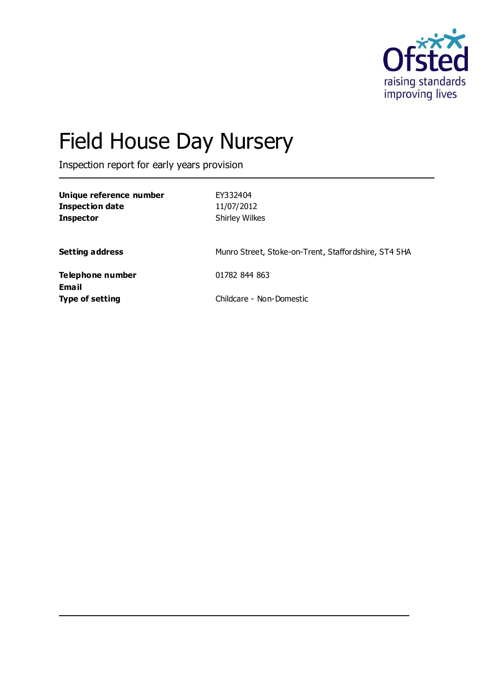

# Field House Day Nursery

Inspection report for early years provision

| Unique reference number<br><b>Inspection date</b><br><b>Inspector</b> | EY332404<br>11/07/2012<br><b>Shirley Wilkes</b>      |
|-----------------------------------------------------------------------|------------------------------------------------------|
| <b>Setting address</b>                                                | Munro Street, Stoke-on-Trent, Staffordshire, ST4 5HA |
| <b>Telephone number</b><br><b>Email</b>                               | 01782 844 863                                        |
| <b>Type of setting</b>                                                | Childcare - Non-Domestic                             |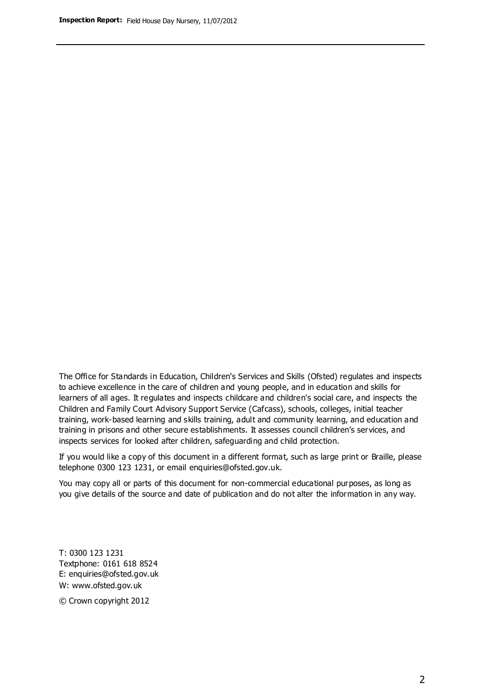The Office for Standards in Education, Children's Services and Skills (Ofsted) regulates and inspects to achieve excellence in the care of children and young people, and in education and skills for learners of all ages. It regulates and inspects childcare and children's social care, and inspects the Children and Family Court Advisory Support Service (Cafcass), schools, colleges, initial teacher training, work-based learning and skills training, adult and community learning, and education and training in prisons and other secure establishments. It assesses council children's services, and inspects services for looked after children, safeguarding and child protection.

If you would like a copy of this document in a different format, such as large print or Braille, please telephone 0300 123 1231, or email enquiries@ofsted.gov.uk.

You may copy all or parts of this document for non-commercial educational purposes, as long as you give details of the source and date of publication and do not alter the information in any way.

T: 0300 123 1231 Textphone: 0161 618 8524 E: enquiries@ofsted.gov.uk W: [www.ofsted.gov.uk](http://www.ofsted.gov.uk/)

© Crown copyright 2012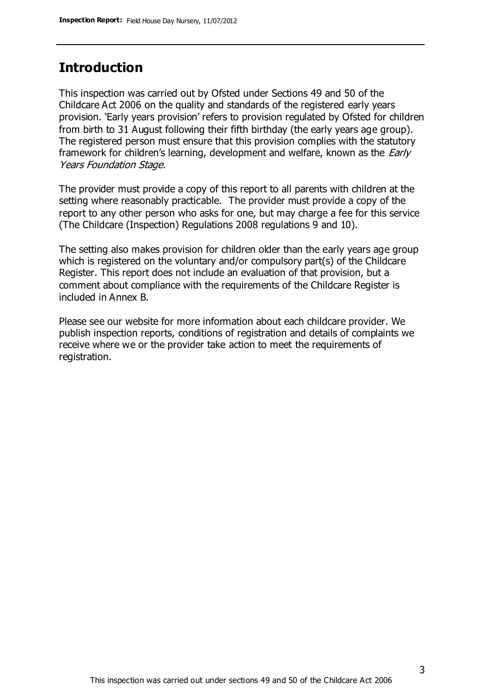#### **Introduction**

This inspection was carried out by Ofsted under Sections 49 and 50 of the Childcare Act 2006 on the quality and standards of the registered early years provision. 'Early years provision' refers to provision regulated by Ofsted for children from birth to 31 August following their fifth birthday (the early years age group). The registered person must ensure that this provision complies with the statutory framework for children's learning, development and welfare, known as the *Early* Years Foundation Stage.

The provider must provide a copy of this report to all parents with children at the setting where reasonably practicable. The provider must provide a copy of the report to any other person who asks for one, but may charge a fee for this service (The Childcare (Inspection) Regulations 2008 regulations 9 and 10).

The setting also makes provision for children older than the early years age group which is registered on the voluntary and/or compulsory part(s) of the Childcare Register. This report does not include an evaluation of that provision, but a comment about compliance with the requirements of the Childcare Register is included in Annex B.

Please see our website for more information about each childcare provider. We publish inspection reports, conditions of registration and details of complaints we receive where we or the provider take action to meet the requirements of registration.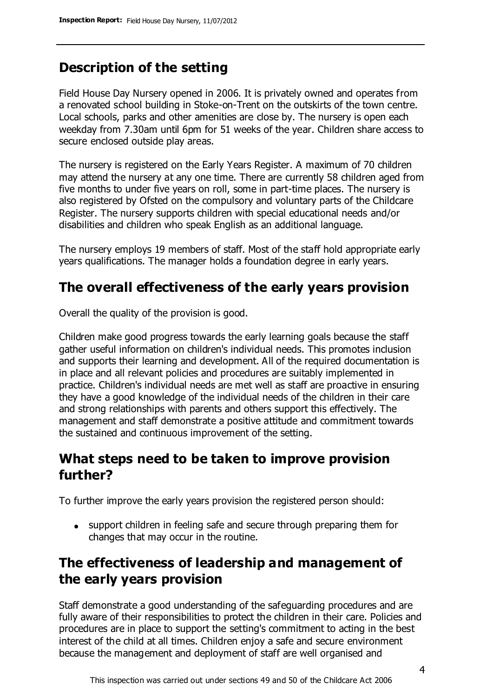### **Description of the setting**

Field House Day Nursery opened in 2006. It is privately owned and operates from a renovated school building in Stoke-on-Trent on the outskirts of the town centre. Local schools, parks and other amenities are close by. The nursery is open each weekday from 7.30am until 6pm for 51 weeks of the year. Children share access to secure enclosed outside play areas.

The nursery is registered on the Early Years Register. A maximum of 70 children may attend the nursery at any one time. There are currently 58 children aged from five months to under five years on roll, some in part-time places. The nursery is also registered by Ofsted on the compulsory and voluntary parts of the Childcare Register. The nursery supports children with special educational needs and/or disabilities and children who speak English as an additional language.

The nursery employs 19 members of staff. Most of the staff hold appropriate early years qualifications. The manager holds a foundation degree in early years.

### **The overall effectiveness of the early years provision**

Overall the quality of the provision is good.

Children make good progress towards the early learning goals because the staff gather useful information on children's individual needs. This promotes inclusion and supports their learning and development. All of the required documentation is in place and all relevant policies and procedures are suitably implemented in practice. Children's individual needs are met well as staff are proactive in ensuring they have a good knowledge of the individual needs of the children in their care and strong relationships with parents and others support this effectively. The management and staff demonstrate a positive attitude and commitment towards the sustained and continuous improvement of the setting.

### **What steps need to be taken to improve provision further?**

To further improve the early years provision the registered person should:

• support children in feeling safe and secure through preparing them for changes that may occur in the routine.

### **The effectiveness of leadership and management of the early years provision**

Staff demonstrate a good understanding of the safeguarding procedures and are fully aware of their responsibilities to protect the children in their care. Policies and procedures are in place to support the setting's commitment to acting in the best interest of the child at all times. Children enjoy a safe and secure environment because the management and deployment of staff are well organised and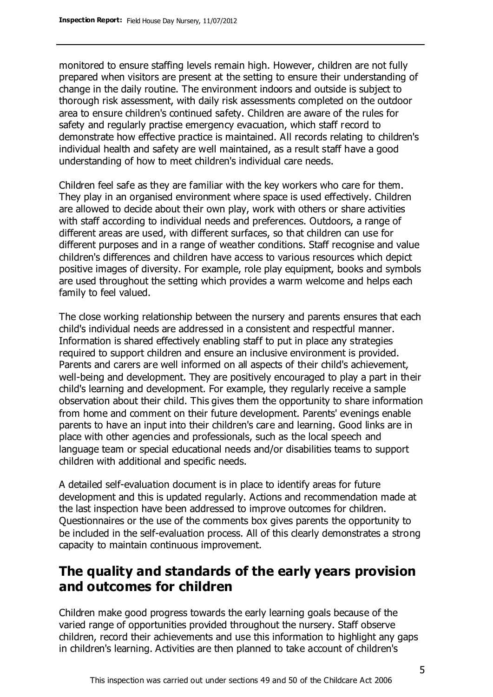monitored to ensure staffing levels remain high. However, children are not fully prepared when visitors are present at the setting to ensure their understanding of change in the daily routine. The environment indoors and outside is subject to thorough risk assessment, with daily risk assessments completed on the outdoor area to ensure children's continued safety. Children are aware of the rules for safety and regularly practise emergency evacuation, which staff record to demonstrate how effective practice is maintained. All records relating to children's individual health and safety are well maintained, as a result staff have a good understanding of how to meet children's individual care needs.

Children feel safe as they are familiar with the key workers who care for them. They play in an organised environment where space is used effectively. Children are allowed to decide about their own play, work with others or share activities with staff according to individual needs and preferences. Outdoors, a range of different areas are used, with different surfaces, so that children can use for different purposes and in a range of weather conditions. Staff recognise and value children's differences and children have access to various resources which depict positive images of diversity. For example, role play equipment, books and symbols are used throughout the setting which provides a warm welcome and helps each family to feel valued.

The close working relationship between the nursery and parents ensures that each child's individual needs are addressed in a consistent and respectful manner. Information is shared effectively enabling staff to put in place any strategies required to support children and ensure an inclusive environment is provided. Parents and carers are well informed on all aspects of their child's achievement, well-being and development. They are positively encouraged to play a part in their child's learning and development. For example, they regularly receive a sample observation about their child. This gives them the opportunity to share information from home and comment on their future development. Parents' evenings enable parents to have an input into their children's care and learning. Good links are in place with other agencies and professionals, such as the local speech and language team or special educational needs and/or disabilities teams to support children with additional and specific needs.

A detailed self-evaluation document is in place to identify areas for future development and this is updated regularly. Actions and recommendation made at the last inspection have been addressed to improve outcomes for children. Questionnaires or the use of the comments box gives parents the opportunity to be included in the self-evaluation process. All of this clearly demonstrates a strong capacity to maintain continuous improvement.

### **The quality and standards of the early years provision and outcomes for children**

Children make good progress towards the early learning goals because of the varied range of opportunities provided throughout the nursery. Staff observe children, record their achievements and use this information to highlight any gaps in children's learning. Activities are then planned to take account of children's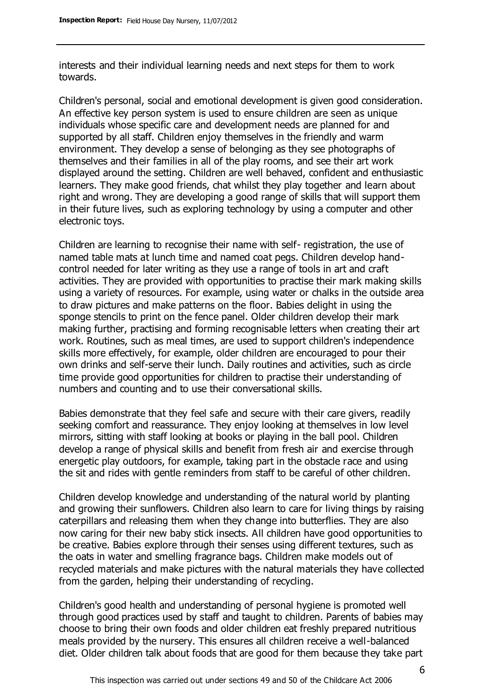interests and their individual learning needs and next steps for them to work towards.

Children's personal, social and emotional development is given good consideration. An effective key person system is used to ensure children are seen as unique individuals whose specific care and development needs are planned for and supported by all staff. Children enjoy themselves in the friendly and warm environment. They develop a sense of belonging as they see photographs of themselves and their families in all of the play rooms, and see their art work displayed around the setting. Children are well behaved, confident and enthusiastic learners. They make good friends, chat whilst they play together and learn about right and wrong. They are developing a good range of skills that will support them in their future lives, such as exploring technology by using a computer and other electronic toys.

Children are learning to recognise their name with self- registration, the use of named table mats at lunch time and named coat pegs. Children develop handcontrol needed for later writing as they use a range of tools in art and craft activities. They are provided with opportunities to practise their mark making skills using a variety of resources. For example, using water or chalks in the outside area to draw pictures and make patterns on the floor. Babies delight in using the sponge stencils to print on the fence panel. Older children develop their mark making further, practising and forming recognisable letters when creating their art work. Routines, such as meal times, are used to support children's independence skills more effectively, for example, older children are encouraged to pour their own drinks and self-serve their lunch. Daily routines and activities, such as circle time provide good opportunities for children to practise their understanding of numbers and counting and to use their conversational skills.

Babies demonstrate that they feel safe and secure with their care givers, readily seeking comfort and reassurance. They enjoy looking at themselves in low level mirrors, sitting with staff looking at books or playing in the ball pool. Children develop a range of physical skills and benefit from fresh air and exercise through energetic play outdoors, for example, taking part in the obstacle race and using the sit and rides with gentle reminders from staff to be careful of other children.

Children develop knowledge and understanding of the natural world by planting and growing their sunflowers. Children also learn to care for living things by raising caterpillars and releasing them when they change into butterflies. They are also now caring for their new baby stick insects. All children have good opportunities to be creative. Babies explore through their senses using different textures, such as the oats in water and smelling fragrance bags. Children make models out of recycled materials and make pictures with the natural materials they have collected from the garden, helping their understanding of recycling.

Children's good health and understanding of personal hygiene is promoted well through good practices used by staff and taught to children. Parents of babies may choose to bring their own foods and older children eat freshly prepared nutritious meals provided by the nursery. This ensures all children receive a well-balanced diet. Older children talk about foods that are good for them because they take part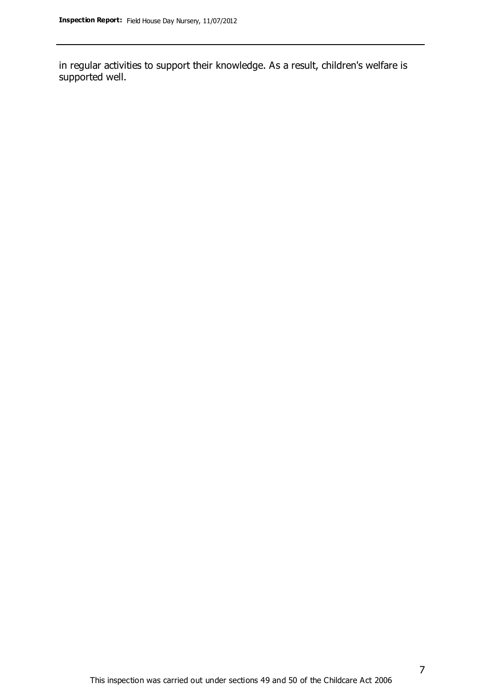in regular activities to support their knowledge. As a result, children's welfare is supported well.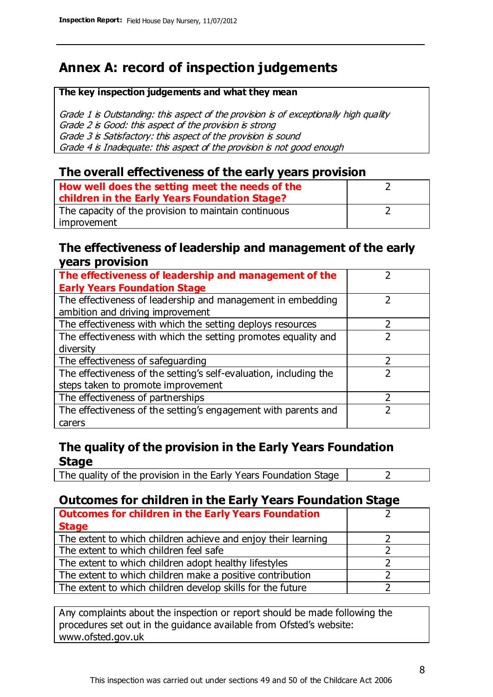### **Annex A: record of inspection judgements**

#### **The key inspection judgements and what they mean**

Grade 1 is Outstanding: this aspect of the provision is of exceptionally high quality Grade 2 is Good: this aspect of the provision is strong Grade 3 is Satisfactory: this aspect of the provision is sound Grade 4 is Inadequate: this aspect of the provision is not good enough

#### **The overall effectiveness of the early years provision**

| How well does the setting meet the needs of the<br>children in the Early Years Foundation Stage? |  |
|--------------------------------------------------------------------------------------------------|--|
| The capacity of the provision to maintain continuous                                             |  |
| improvement                                                                                      |  |

#### **The effectiveness of leadership and management of the early years provision**

| The effectiveness of leadership and management of the             |  |
|-------------------------------------------------------------------|--|
| <b>Early Years Foundation Stage</b>                               |  |
| The effectiveness of leadership and management in embedding       |  |
| ambition and driving improvement                                  |  |
| The effectiveness with which the setting deploys resources        |  |
| The effectiveness with which the setting promotes equality and    |  |
| diversity                                                         |  |
| The effectiveness of safeguarding                                 |  |
| The effectiveness of the setting's self-evaluation, including the |  |
| steps taken to promote improvement                                |  |
| The effectiveness of partnerships                                 |  |
| The effectiveness of the setting's engagement with parents and    |  |
| carers                                                            |  |

#### **The quality of the provision in the Early Years Foundation Stage**

The quality of the provision in the Early Years Foundation Stage  $\vert$  2

#### **Outcomes for children in the Early Years Foundation Stage**

| <b>Outcomes for children in the Early Years Foundation</b>    |  |
|---------------------------------------------------------------|--|
| <b>Stage</b>                                                  |  |
| The extent to which children achieve and enjoy their learning |  |
| The extent to which children feel safe                        |  |
| The extent to which children adopt healthy lifestyles         |  |
| The extent to which children make a positive contribution     |  |
| The extent to which children develop skills for the future    |  |

Any complaints about the inspection or report should be made following the procedures set out in the guidance available from Ofsted's website: www.ofsted.gov.uk